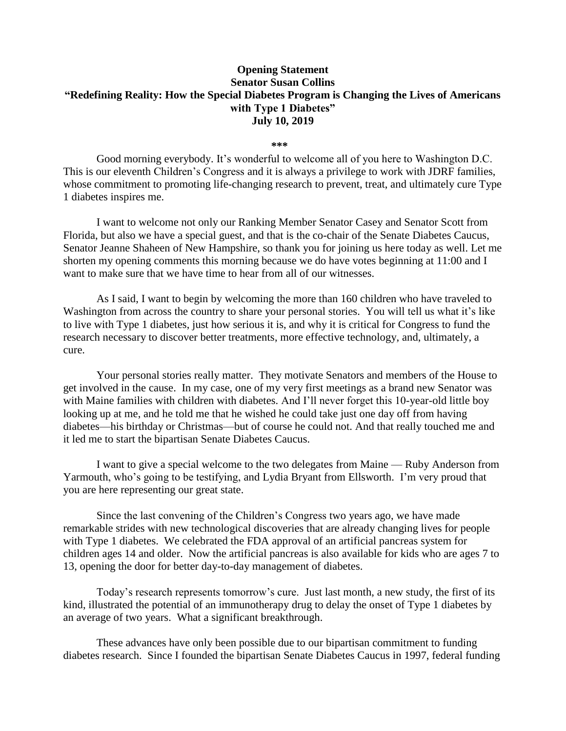## **Opening Statement Senator Susan Collins "Redefining Reality: How the Special Diabetes Program is Changing the Lives of Americans with Type 1 Diabetes" July 10, 2019**

 $***$ 

Good morning everybody. It's wonderful to welcome all of you here to Washington D.C. This is our eleventh Children's Congress and it is always a privilege to work with JDRF families, whose commitment to promoting life-changing research to prevent, treat, and ultimately cure Type 1 diabetes inspires me.

I want to welcome not only our Ranking Member Senator Casey and Senator Scott from Florida, but also we have a special guest, and that is the co-chair of the Senate Diabetes Caucus, Senator Jeanne Shaheen of New Hampshire, so thank you for joining us here today as well. Let me shorten my opening comments this morning because we do have votes beginning at 11:00 and I want to make sure that we have time to hear from all of our witnesses.

As I said, I want to begin by welcoming the more than 160 children who have traveled to Washington from across the country to share your personal stories. You will tell us what it's like to live with Type 1 diabetes, just how serious it is, and why it is critical for Congress to fund the research necessary to discover better treatments, more effective technology, and, ultimately, a cure.

Your personal stories really matter. They motivate Senators and members of the House to get involved in the cause. In my case, one of my very first meetings as a brand new Senator was with Maine families with children with diabetes. And I'll never forget this 10-year-old little boy looking up at me, and he told me that he wished he could take just one day off from having diabetes—his birthday or Christmas—but of course he could not. And that really touched me and it led me to start the bipartisan Senate Diabetes Caucus.

I want to give a special welcome to the two delegates from Maine — Ruby Anderson from Yarmouth, who's going to be testifying, and Lydia Bryant from Ellsworth. I'm very proud that you are here representing our great state.

Since the last convening of the Children's Congress two years ago, we have made remarkable strides with new technological discoveries that are already changing lives for people with Type 1 diabetes. We celebrated the FDA approval of an artificial pancreas system for children ages 14 and older. Now the artificial pancreas is also available for kids who are ages 7 to 13, opening the door for better day-to-day management of diabetes.

Today's research represents tomorrow's cure. Just last month, a new study, the first of its kind, illustrated the potential of an immunotherapy drug to delay the onset of Type 1 diabetes by an average of two years. What a significant breakthrough.

These advances have only been possible due to our bipartisan commitment to funding diabetes research. Since I founded the bipartisan Senate Diabetes Caucus in 1997, federal funding